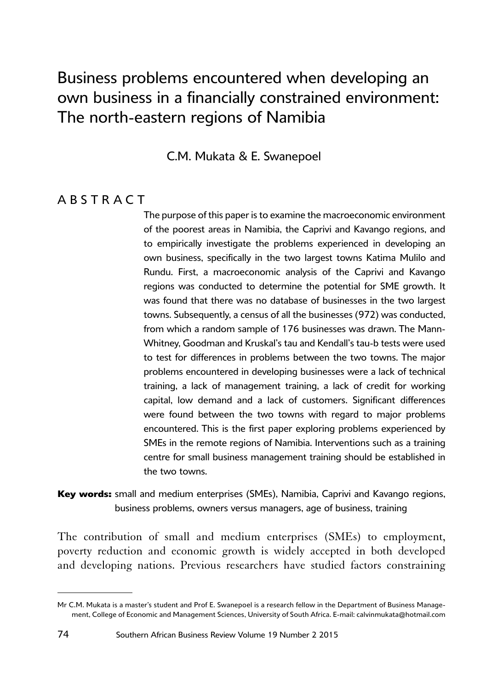# Business problems encountered when developing an own business in a financially constrained environment: The north-eastern regions of Namibia

C.M. Mukata & E. Swanepoel

### **ABSTRACT**

The purpose of this paper is to examine the macroeconomic environment of the poorest areas in Namibia, the Caprivi and Kavango regions, and to empirically investigate the problems experienced in developing an own business, specifically in the two largest towns Katima Mulilo and Rundu. First, a macroeconomic analysis of the Caprivi and Kavango regions was conducted to determine the potential for SME growth. It was found that there was no database of businesses in the two largest towns. Subsequently, a census of all the businesses (972) was conducted, from which a random sample of 176 businesses was drawn. The Mann-Whitney, Goodman and Kruskal's tau and Kendall's tau-b tests were used to test for differences in problems between the two towns. The major problems encountered in developing businesses were a lack of technical training, a lack of management training, a lack of credit for working capital, low demand and a lack of customers. Significant differences were found between the two towns with regard to major problems encountered. This is the first paper exploring problems experienced by SMEs in the remote regions of Namibia. Interventions such as a training centre for small business management training should be established in the two towns.

<sup>8</sup>**Key words:** small and medium enterprises (SMEs), Namibia, Caprivi and Kavango regions, business problems, owners versus managers, age of business, training

1The contribution of small and medium enterprises (SMEs) to employment, poverty reduction and economic growth is widely accepted in both developed and developing nations. Previous researchers have studied factors constraining

Mr C.M. Mukata is a master's student and Prof E. Swanepoel is a research fellow in the Department of Business Management, College of Economic and Management Sciences, University of South Africa. E-mail: [calvinmukata@hotmail.com](mailto:calvinmukata@hotmail.com)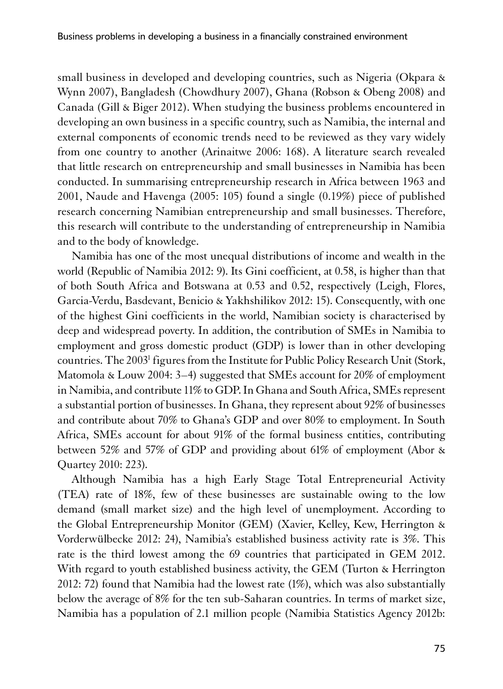small business in developed and developing countries, such as Nigeria (Okpara & Wynn 2007), Bangladesh (Chowdhury 2007), Ghana (Robson & Obeng 2008) and Canada (Gill & Biger 2012). When studying the business problems encountered in developing an own business in a specific country, such as Namibia, the internal and external components of economic trends need to be reviewed as they vary widely from one country to another (Arinaitwe 2006: 168). A literature search revealed that little research on entrepreneurship and small businesses in Namibia has been conducted. In summarising entrepreneurship research in Africa between 1963 and 2001, Naude and Havenga (2005: 105) found a single (0.19%) piece of published research concerning Namibian entrepreneurship and small businesses. Therefore, this research will contribute to the understanding of entrepreneurship in Namibia and to the body of knowledge.

Namibia has one of the most unequal distributions of income and wealth in the world (Republic of Namibia 2012: 9). Its Gini coefficient, at 0.58, is higher than that of both South Africa and Botswana at 0.53 and 0.52, respectively [\(Leigh, Flores,](mailto:info@sun.ac.za) [Garcia-Verdu, Basdevant, Benicio & Yakhshilikov](mailto:info@sun.ac.za) 2012: 15). Consequently, with one of the highest Gini coefficients in the world, Namibian society is characterised by deep and widespread poverty. In addition, the contribution of SMEs in Namibia to employment and gross domestic product (GDP) is lower than in other developing countries. The 2003<sup>1</sup> figures from the Institute for Public Policy Research Unit (Stork, Matomola & Louw 2004: 3–4) suggested that SMEs account for 20% of employment in Namibia, and contribute 11% to GDP. In Ghana and South Africa, SMEs represent a substantial portion of businesses. In Ghana, they represent about 92% of businesses and contribute about 70% to Ghana's GDP and over 80% to employment. In South Africa, SMEs account for about 91% of the formal business entities, contributing between 52% and 57% of GDP and providing about 61% of employment (Abor & Quartey 2010: 223).

Although Namibia has a high Early Stage Total Entrepreneurial Activity (TEA) rate of 18%, few of these businesses are sustainable owing to the low demand (small market size) and the high level of unemployment. According to the Global Entrepreneurship Monitor (GEM) (Xavier, Kelley, Kew, Herrington & Vorderwülbecke 2012: 24), Namibia's established business activity rate is 3%. This rate is the third lowest among the 69 countries that participated in GEM 2012. With regard to youth established business activity, the GEM (Turton & Herrington 2012: 72) found that Namibia had the lowest rate (1%), which was also substantially below the average of 8% for the ten sub-Saharan countries. In terms of market size, Namibia has a population of 2.1 million people (Namibia Statistics Agency 2012b: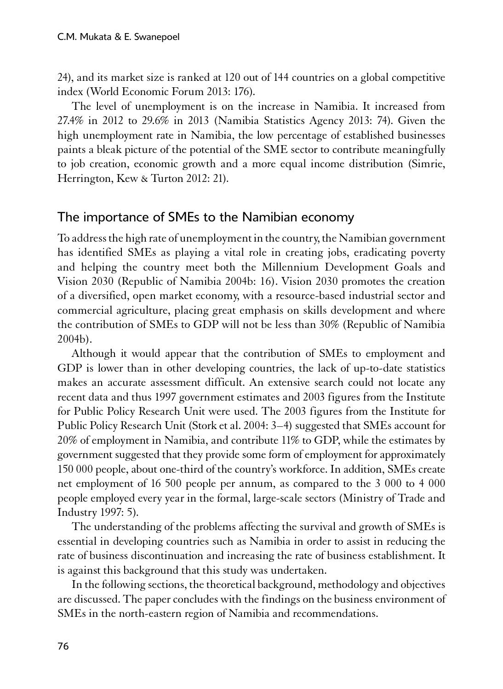24), and its market size is ranked at 120 out of 144 countries on a global competitive index (World Economic Forum 2013: 176).

The level of unemployment is on the increase in Namibia. It increased from 27.4% in 2012 to 29.6% in 2013 (Namibia Statistics Agency 2013: 74). Given the high unemployment rate in Namibia, the low percentage of established businesses paints a bleak picture of the potential of the SME sector to contribute meaningfully to job creation, economic growth and a more equal income distribution (Simrie, Herrington, Kew & Turton 2012: 21).

### The importance of SMEs to the Namibian economy

1To address the high rate of unemployment in the country, the Namibian government has identified SMEs as playing a vital role in creating jobs, eradicating poverty and helping the country meet both the Millennium Development Goals and Vision 2030 (Republic of Namibia 2004b: 16). Vision 2030 promotes the creation of a diversified, open market economy, with a resource-based industrial sector and commercial agriculture, placing great emphasis on skills development and where the contribution of SMEs to GDP will not be less than 30% (Republic of Namibia 2004b).

Although it would appear that the contribution of SMEs to employment and GDP is lower than in other developing countries, the lack of up-to-date statistics makes an accurate assessment difficult. An extensive search could not locate any recent data and thus 1997 government estimates and 2003 figures from the Institute for Public Policy Research Unit were used. The 2003 figures from the Institute for Public Policy Research Unit (Stork et al. 2004: 3–4) suggested that SMEs account for 20% of employment in Namibia, and contribute 11% to GDP, while the estimates by government suggested that they provide some form of employment for approximately 150 000 people, about one-third of the country's workforce. In addition, SMEs create net employment of 16 500 people per annum, as compared to the 3 000 to 4 000 people employed every year in the formal, large-scale sectors (Ministry of Trade and Industry 1997: 5).

The understanding of the problems affecting the survival and growth of SMEs is essential in developing countries such as Namibia in order to assist in reducing the rate of business discontinuation and increasing the rate of business establishment. It is against this background that this study was undertaken.

In the following sections, the theoretical background, methodology and objectives are discussed. The paper concludes with the findings on the business environment of SMEs in the north-eastern region of Namibia and recommendations.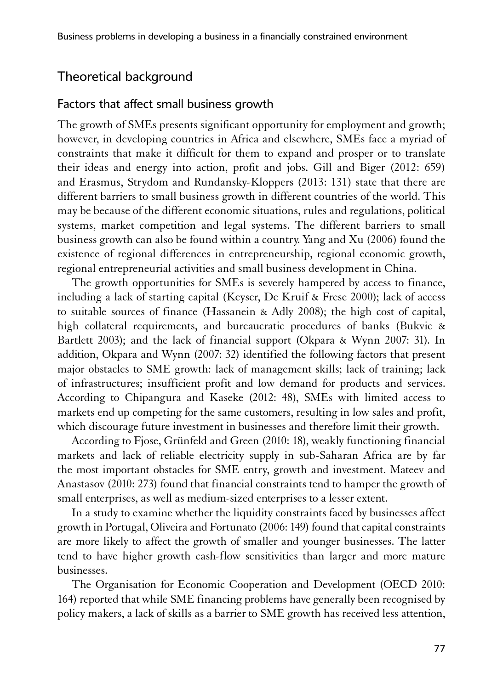### Theoretical background

#### Factors that affect small business growth

1The growth of SMEs presents significant opportunity for employment and growth; however, in developing countries in Africa and elsewhere, SMEs face a myriad of constraints that make it difficult for them to expand and prosper or to translate their ideas and energy into action, profit and jobs. Gill and Biger (2012: 659) and Erasmus, Strydom and Rundansky-Kloppers (2013: 131) state that there are different barriers to small business growth in different countries of the world. This may be because of the different economic situations, rules and regulations, political systems, market competition and legal systems. The different barriers to small business growth can also be found within a country. Yang and Xu (2006) found the existence of regional differences in entrepreneurship, regional economic growth, regional entrepreneurial activities and small business development in China.

The growth opportunities for SMEs is severely hampered by access to finance, including a lack of starting capital (Keyser, De Kruif & Frese 2000); lack of access to suitable sources of finance (Hassanein & Adly 2008); the high cost of capital, high collateral requirements, and bureaucratic procedures of banks (Bukvic & Bartlett 2003); and the lack of financial support (Okpara & Wynn 2007: 31). In addition, Okpara and Wynn (2007: 32) identified the following factors that present major obstacles to SME growth: lack of management skills; lack of training; lack of infrastructures; insufficient profit and low demand for products and services. According to Chipangura and Kaseke (2012: 48), SMEs with limited access to markets end up competing for the same customers, resulting in low sales and profit, which discourage future investment in businesses and therefore limit their growth.

According to Fjose, Grünfeld and Green (2010: 18), weakly functioning financial markets and lack of reliable electricity supply in sub-Saharan Africa are by far the most important obstacles for SME entry, growth and investment. Mateev and Anastasov (2010: 273) found that financial constraints tend to hamper the growth of small enterprises, as well as medium-sized enterprises to a lesser extent.

In a study to examine whether the liquidity constraints faced by businesses affect growth in Portugal, Oliveira and Fortunato (2006: 149) found that capital constraints are more likely to affect the growth of smaller and younger businesses. The latter tend to have higher growth cash-flow sensitivities than larger and more mature businesses.

The Organisation for Economic Cooperation and Development (OECD 2010: 164) reported that while SME financing problems have generally been recognised by policy makers, a lack of skills as a barrier to SME growth has received less attention,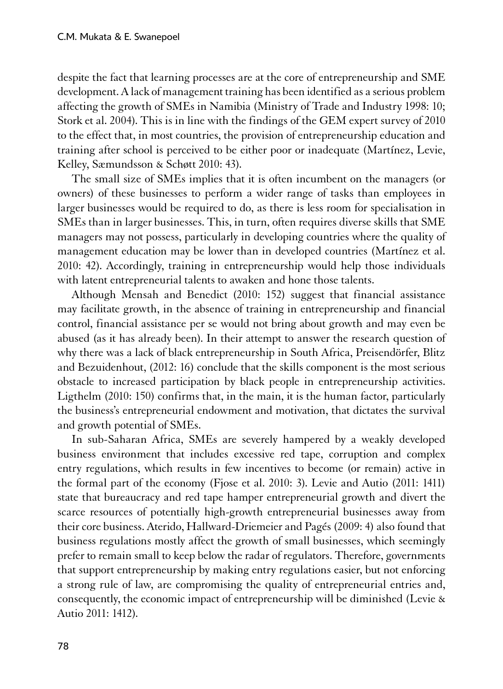despite the fact that learning processes are at the core of entrepreneurship and SME development. A lack of management training has been identified as a serious problem affecting the growth of SMEs in Namibia (Ministry of Trade and Industry 1998: 10; Stork et al. 2004). This is in line with the findings of the GEM expert survey of 2010 to the effect that, in most countries, the provision of entrepreneurship education and training after school is perceived to be either poor or inadequate (Martínez, Levie, Kelley, Sæmundsson & Schøtt 2010: 43).

The small size of SMEs implies that it is often incumbent on the managers (or owners) of these businesses to perform a wider range of tasks than employees in larger businesses would be required to do, as there is less room for specialisation in SMEs than in larger businesses. This, in turn, often requires diverse skills that SME managers may not possess, particularly in developing countries where the quality of management education may be lower than in developed countries (Martínez et al. 2010: 42). Accordingly, training in entrepreneurship would help those individuals with latent entrepreneurial talents to awaken and hone those talents.

Although Mensah and Benedict (2010: 152) suggest that financial assistance may facilitate growth, in the absence of training in entrepreneurship and financial control, financial assistance per se would not bring about growth and may even be abused (as it has already been). In their attempt to answer the research question of why there was a lack of black entrepreneurship in South Africa, Preisendörfer, Blitz and Bezuidenhout, (2012: 16) conclude that the skills component is the most serious obstacle to increased participation by black people in entrepreneurship activities. Ligthelm (2010: 150) confirms that, in the main, it is the human factor, particularly the business's entrepreneurial endowment and motivation, that dictates the survival and growth potential of SMEs.

In sub-Saharan Africa, SMEs are severely hampered by a weakly developed business environment that includes excessive red tape, corruption and complex entry regulations, which results in few incentives to become (or remain) active in the formal part of the economy (Fjose et al. 2010: 3). Levie and Autio (2011: 1411) state that bureaucracy and red tape hamper entrepreneurial growth and divert the scarce resources of potentially high-growth entrepreneurial businesses away from their core business. Aterido, Hallward-Driemeier and Pagés (2009: 4) also found that business regulations mostly affect the growth of small businesses, which seemingly prefer to remain small to keep below the radar of regulators. Therefore, governments that support entrepreneurship by making entry regulations easier, but not enforcing a strong rule of law, are compromising the quality of entrepreneurial entries and, consequently, the economic impact of entrepreneurship will be diminished (Levie & Autio 2011: 1412).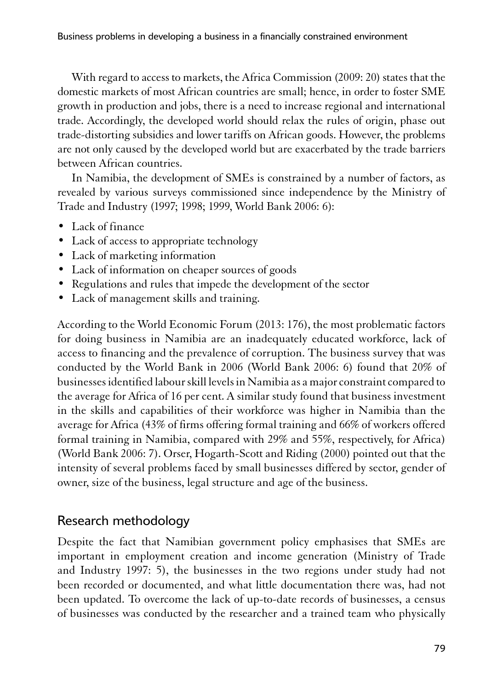With regard to access to markets, the Africa Commission (2009: 20) states that the domestic markets of most African countries are small; hence, in order to foster SME growth in production and jobs, there is a need to increase regional and international trade. Accordingly, the developed world should relax the rules of origin, phase out trade-distorting subsidies and lower tariffs on African goods. However, the problems are not only caused by the developed world but are exacerbated by the trade barriers between African countries.

In Namibia, the development of SMEs is constrained by a number of factors, as revealed by various surveys commissioned since independence by the Ministry of Trade and Industry (1997; 1998; 1999, World Bank 2006: 6):

- Lack of finance
- Lack of access to appropriate technology
- Lack of marketing information
- Lack of information on cheaper sources of goods
- Regulations and rules that impede the development of the sector
- Lack of management skills and training.

According to the World Economic Forum (2013: 176), the most problematic factors for doing business in Namibia are an inadequately educated workforce, lack of access to financing and the prevalence of corruption. The business survey that was conducted by the World Bank in 2006 (World Bank 2006: 6) found that 20% of businesses identified labour skill levels in Namibia as a major constraint compared to the average for Africa of 16 per cent. A similar study found that business investment in the skills and capabilities of their workforce was higher in Namibia than the average for Africa (43% of firms offering formal training and 66% of workers offered formal training in Namibia, compared with 29% and 55%, respectively, for Africa) (World Bank 2006: 7). Orser, Hogarth-Scott and Riding (2000) pointed out that the intensity of several problems faced by small businesses differed by sector, gender of owner, size of the business, legal structure and age of the business.

# Research methodology

1Despite the fact that Namibian government policy emphasises that SMEs are important in employment creation and income generation (Ministry of Trade and Industry 1997: 5), the businesses in the two regions under study had not been recorded or documented, and what little documentation there was, had not been updated. To overcome the lack of up-to-date records of businesses, a census of businesses was conducted by the researcher and a trained team who physically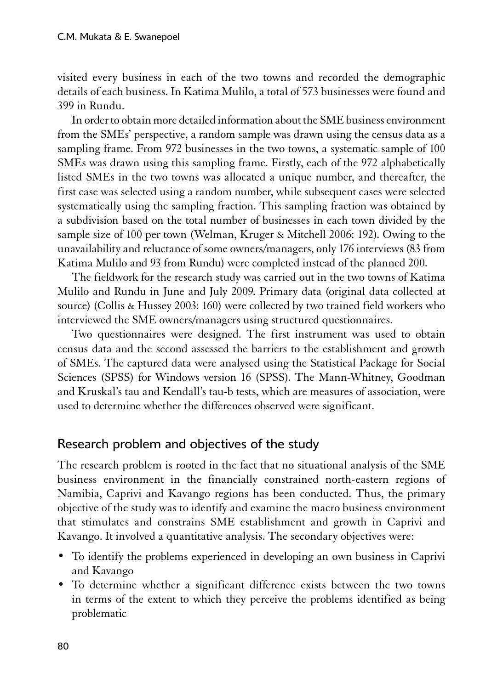visited every business in each of the two towns and recorded the demographic details of each business. In Katima Mulilo, a total of 573 businesses were found and 399 in Rundu.

In order to obtain more detailed information about the SME business environment from the SMEs' perspective, a random sample was drawn using the census data as a sampling frame. From 972 businesses in the two towns, a systematic sample of 100 SMEs was drawn using this sampling frame. Firstly, each of the 972 alphabetically listed SMEs in the two towns was allocated a unique number, and thereafter, the first case was selected using a random number, while subsequent cases were selected systematically using the sampling fraction. This sampling fraction was obtained by a subdivision based on the total number of businesses in each town divided by the sample size of 100 per town (Welman, Kruger & Mitchell 2006: 192). Owing to the unavailability and reluctance of some owners/managers, only 176 interviews (83 from Katima Mulilo and 93 from Rundu) were completed instead of the planned 200.

The fieldwork for the research study was carried out in the two towns of Katima Mulilo and Rundu in June and July 2009. Primary data (original data collected at source) (Collis & Hussey 2003: 160) were collected by two trained field workers who interviewed the SME owners/managers using structured questionnaires.

Two questionnaires were designed. The first instrument was used to obtain census data and the second assessed the barriers to the establishment and growth of SMEs. The captured data were analysed using the Statistical Package for Social Sciences (SPSS) for Windows version 16 (SPSS). The Mann-Whitney, Goodman and Kruskal's tau and Kendall's tau-b tests, which are measures of association, were used to determine whether the differences observed were significant.

#### Research problem and objectives of the study

The research problem is rooted in the fact that no situational analysis of the SME business environment in the financially constrained north-eastern regions of Namibia, Caprivi and Kavango regions has been conducted. Thus, the primary objective of the study was to identify and examine the macro business environment that stimulates and constrains SME establishment and growth in Caprivi and Kavango. It involved a quantitative analysis. The secondary objectives were:

- To identify the problems experienced in developing an own business in Caprivi and Kavango
- To determine whether a significant difference exists between the two towns in terms of the extent to which they perceive the problems identified as being problematic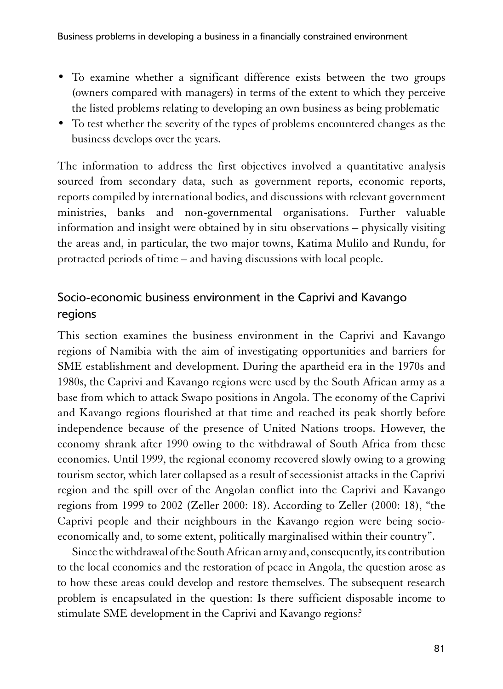- To examine whether a significant difference exists between the two groups (owners compared with managers) in terms of the extent to which they perceive the listed problems relating to developing an own business as being problematic
- To test whether the severity of the types of problems encountered changes as the business develops over the years.

1The information to address the first objectives involved a quantitative analysis sourced from secondary data, such as government reports, economic reports, reports compiled by international bodies, and discussions with relevant government ministries, banks and non-governmental organisations. Further valuable information and insight were obtained by in situ observations – physically visiting the areas and, in particular, the two major towns, Katima Mulilo and Rundu, for protracted periods of time – and having discussions with local people.

# Socio-economic business environment in the Caprivi and Kavango regions

1This section examines the business environment in the Caprivi and Kavango regions of Namibia with the aim of investigating opportunities and barriers for SME establishment and development. During the apartheid era in the 1970s and 1980s, the Caprivi and Kavango regions were used by the South African army as a base from which to attack Swapo positions in Angola. The economy of the Caprivi and Kavango regions flourished at that time and reached its peak shortly before independence because of the presence of United Nations troops. However, the economy shrank after 1990 owing to the withdrawal of South Africa from these economies. Until 1999, the regional economy recovered slowly owing to a growing tourism sector, which later collapsed as a result of secessionist attacks in the Caprivi region and the spill over of the Angolan conflict into the Caprivi and Kavango regions from 1999 to 2002 (Zeller 2000: 18). According to Zeller (2000: 18), "the Caprivi people and their neighbours in the Kavango region were being socioeconomically and, to some extent, politically marginalised within their country".

Since the withdrawal of the South African army and, consequently, its contribution to the local economies and the restoration of peace in Angola, the question arose as to how these areas could develop and restore themselves. The subsequent research problem is encapsulated in the question: Is there sufficient disposable income to stimulate SME development in the Caprivi and Kavango regions?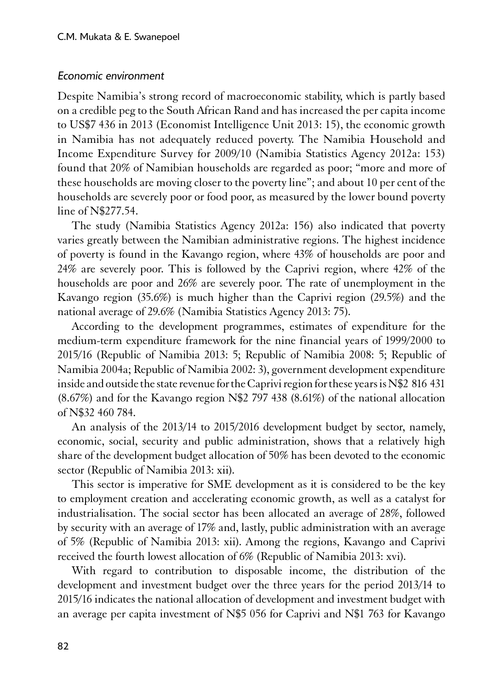#### *Economic environment*

1Despite Namibia's strong record of macroeconomic stability, which is partly based on a credible peg to the South African Rand and has increased the per capita income to US\$7 436 in 2013 (Economist Intelligence Unit 2013: 15), the economic growth in Namibia has not adequately reduced poverty. The Namibia Household and Income Expenditure Survey for 2009/10 (Namibia Statistics Agency 2012a: 153) found that 20% of Namibian households are regarded as poor; "more and more of these households are moving closer to the poverty line"; and about 10 per cent of the households are severely poor or food poor, as measured by the lower bound poverty line of N\$277.54.

The study (Namibia Statistics Agency 2012a: 156) also indicated that poverty varies greatly between the Namibian administrative regions. The highest incidence of poverty is found in the Kavango region, where 43% of households are poor and 24% are severely poor. This is followed by the Caprivi region, where 42% of the households are poor and 26% are severely poor. The rate of unemployment in the Kavango region (35.6%) is much higher than the Caprivi region (29.5%) and the national average of 29.6% (Namibia Statistics Agency 2013: 75).

According to the development programmes, estimates of expenditure for the medium-term expenditure framework for the nine financial years of 1999/2000 to 2015/16 (Republic of Namibia 2013: 5; Republic of Namibia 2008: 5; Republic of Namibia 2004a; Republic of Namibia 2002: 3), government development expenditure inside and outside the state revenue for the Caprivi region for these years is N\$2 816 431 (8.67%) and for the Kavango region N\$2 797 438 (8.61%) of the national allocation of N\$32 460 784.

An analysis of the 2013/14 to 2015/2016 development budget by sector, namely, economic, social, security and public administration, shows that a relatively high share of the development budget allocation of 50% has been devoted to the economic sector (Republic of Namibia 2013: xii).

This sector is imperative for SME development as it is considered to be the key to employment creation and accelerating economic growth, as well as a catalyst for industrialisation. The social sector has been allocated an average of 28%, followed by security with an average of 17% and, lastly, public administration with an average of 5% (Republic of Namibia 2013: xii). Among the regions, Kavango and Caprivi received the fourth lowest allocation of 6% (Republic of Namibia 2013: xvi).

With regard to contribution to disposable income, the distribution of the development and investment budget over the three years for the period 2013/14 to 2015/16 indicates the national allocation of development and investment budget with an average per capita investment of N\$5 056 for Caprivi and N\$1 763 for Kavango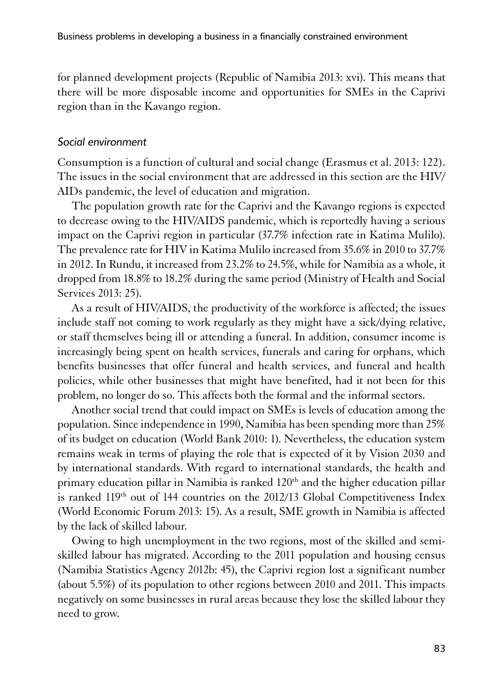for planned development projects (Republic of Namibia 2013: xvi). This means that there will be more disposable income and opportunities for SMEs in the Caprivi region than in the Kavango region.

#### *Social environment*

Consumption is a function of cultural and social change (Erasmus et al. 2013: 122). The issues in the social environment that are addressed in this section are the HIV/ AIDs pandemic, the level of education and migration.

The population growth rate for the Caprivi and the Kavango regions is expected to decrease owing to the HIV/AIDS pandemic, which is reportedly having a serious impact on the Caprivi region in particular (37.7% infection rate in Katima Mulilo). The prevalence rate for HIV in Katima Mulilo increased from 35.6% in 2010 to 37.7% in 2012. In Rundu, it increased from 23.2% to 24.5%, while for Namibia as a whole, it dropped from 18.8% to 18.2% during the same period (Ministry of Health and Social Services 2013: 25).

As a result of HIV/AIDS, the productivity of the workforce is affected; the issues include staff not coming to work regularly as they might have a sick/dying relative, or staff themselves being ill or attending a funeral. In addition, consumer income is increasingly being spent on health services, funerals and caring for orphans, which benefits businesses that offer funeral and health services, and funeral and health policies, while other businesses that might have benefited, had it not been for this problem, no longer do so. This affects both the formal and the informal sectors.

Another social trend that could impact on SMEs is levels of education among the population. Since independence in 1990, Namibia has been spending more than 25% of its budget on education (World Bank 2010: 1). Nevertheless, the education system remains weak in terms of playing the role that is expected of it by Vision 2030 and by international standards. With regard to international standards, the health and primary education pillar in Namibia is ranked 120<sup>th</sup> and the higher education pillar is ranked 119<sup>th</sup> out of 144 countries on the 2012/13 Global Competitiveness Index (World Economic Forum 2013: 15). As a result, SME growth in Namibia is affected by the lack of skilled labour.

Owing to high unemployment in the two regions, most of the skilled and semiskilled labour has migrated. According to the 2011 population and housing census (Namibia Statistics Agency 2012b: 45), the Caprivi region lost a significant number (about 5.5%) of its population to other regions between 2010 and 2011. This impacts negatively on some businesses in rural areas because they lose the skilled labour they need to grow.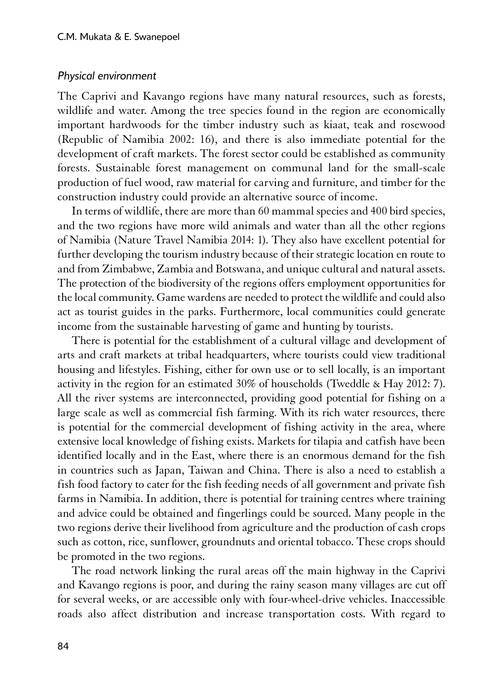#### *Physical environment*

1The Caprivi and Kavango regions have many natural resources, such as forests, wildlife and water. Among the tree species found in the region are economically important hardwoods for the timber industry such as kiaat, teak and rosewood (Republic of Namibia 2002: 16), and there is also immediate potential for the development of craft markets. The forest sector could be established as community forests. Sustainable forest management on communal land for the small-scale production of fuel wood, raw material for carving and furniture, and timber for the construction industry could provide an alternative source of income.

In terms of wildlife, there are more than 60 mammal species and 400 bird species, and the two regions have more wild animals and water than all the other regions of Namibia (Nature Travel Namibia 2014: 1). They also have excellent potential for further developing the tourism industry because of their strategic location en route to and from Zimbabwe, Zambia and Botswana, and unique cultural and natural assets. The protection of the biodiversity of the regions offers employment opportunities for the local community. Game wardens are needed to protect the wildlife and could also act as tourist guides in the parks. Furthermore, local communities could generate income from the sustainable harvesting of game and hunting by tourists.

There is potential for the establishment of a cultural village and development of arts and craft markets at tribal headquarters, where tourists could view traditional housing and lifestyles. Fishing, either for own use or to sell locally, is an important activity in the region for an estimated 30% of households (Tweddle & Hay 2012: 7). All the river systems are interconnected, providing good potential for fishing on a large scale as well as commercial fish farming. With its rich water resources, there is potential for the commercial development of fishing activity in the area, where extensive local knowledge of fishing exists. Markets for tilapia and catfish have been identified locally and in the East, where there is an enormous demand for the fish in countries such as Japan, Taiwan and China. There is also a need to establish a fish food factory to cater for the fish feeding needs of all government and private fish farms in Namibia. In addition, there is potential for training centres where training and advice could be obtained and fingerlings could be sourced. Many people in the two regions derive their livelihood from agriculture and the production of cash crops such as cotton, rice, sunflower, groundnuts and oriental tobacco. These crops should be promoted in the two regions.

The road network linking the rural areas off the main highway in the Caprivi and Kavango regions is poor, and during the rainy season many villages are cut off for several weeks, or are accessible only with four-wheel-drive vehicles. Inaccessible roads also affect distribution and increase transportation costs. With regard to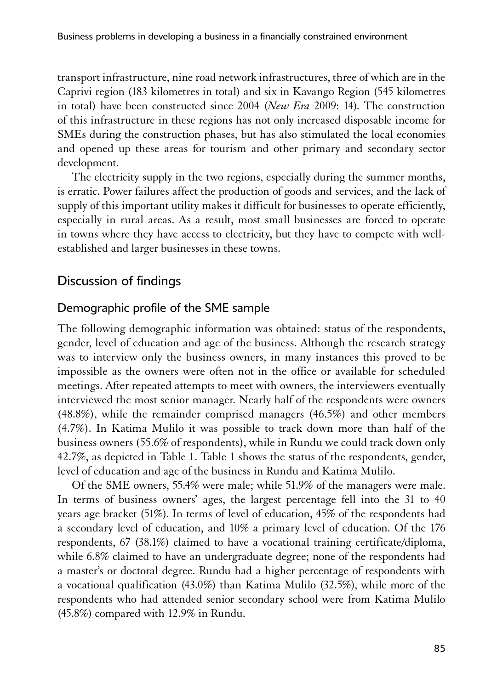transport infrastructure, nine road network infrastructures, three of which are in the Caprivi region (183 kilometres in total) and six in Kavango Region (545 kilometres in total) have been constructed since 2004 (*New Era* 2009: 14). The construction of this infrastructure in these regions has not only increased disposable income for SMEs during the construction phases, but has also stimulated the local economies and opened up these areas for tourism and other primary and secondary sector development.

The electricity supply in the two regions, especially during the summer months, is erratic. Power failures affect the production of goods and services, and the lack of supply of this important utility makes it difficult for businesses to operate efficiently, especially in rural areas. As a result, most small businesses are forced to operate in towns where they have access to electricity, but they have to compete with wellestablished and larger businesses in these towns.

# Discussion of findings

#### Demographic profile of the SME sample

The following demographic information was obtained: status of the respondents, gender, level of education and age of the business. Although the research strategy was to interview only the business owners, in many instances this proved to be impossible as the owners were often not in the office or available for scheduled meetings. After repeated attempts to meet with owners, the interviewers eventually interviewed the most senior manager. Nearly half of the respondents were owners (48.8%), while the remainder comprised managers (46.5%) and other members (4.7%). In Katima Mulilo it was possible to track down more than half of the business owners (55.6% of respondents), while in Rundu we could track down only 42.7%, as depicted in Table 1. Table 1 shows the status of the respondents, gender, level of education and age of the business in Rundu and Katima Mulilo.

Of the SME owners, 55.4% were male; while 51.9% of the managers were male. In terms of business owners' ages, the largest percentage fell into the 31 to 40 years age bracket (51%). In terms of level of education, 45% of the respondents had a secondary level of education, and 10% a primary level of education. Of the 176 respondents, 67 (38.1%) claimed to have a vocational training certificate/diploma, while 6.8% claimed to have an undergraduate degree; none of the respondents had a master's or doctoral degree. Rundu had a higher percentage of respondents with a vocational qualification (43.0%) than Katima Mulilo (32.5%), while more of the respondents who had attended senior secondary school were from Katima Mulilo (45.8%) compared with 12.9% in Rundu.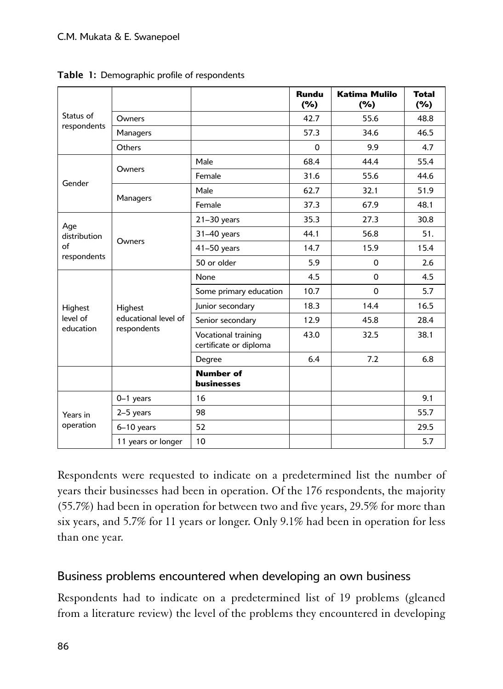|                          |                                                |                                               | <b>Rundu</b><br>(%) | <b>Katima Mulilo</b><br>(%) | <b>Total</b><br>(%) |
|--------------------------|------------------------------------------------|-----------------------------------------------|---------------------|-----------------------------|---------------------|
| Status of<br>respondents | Owners                                         |                                               | 42.7                | 55.6                        | 48.8                |
|                          | Managers                                       |                                               | 57.3                | 34.6                        | 46.5                |
|                          | Others                                         |                                               | $\Omega$            | 9.9                         | 4.7                 |
| Gender                   | Owners                                         | Male                                          | 68.4                | 44.4                        | 55.4                |
|                          |                                                | Female                                        | 31.6                | 55.6                        | 44.6                |
|                          | Managers                                       | Male                                          | 62.7                | 32.1                        | 51.9                |
|                          |                                                | Female                                        | 37.3                | 67.9                        | 48.1                |
| Age                      | Owners                                         | $21-30$ years                                 | 35.3                | 27.3                        | 30.8                |
| distribution             |                                                | 31-40 years                                   | 44.1                | 56.8                        | 51.                 |
| of                       |                                                | 41-50 years                                   | 14.7                | 15.9                        | 15.4                |
| respondents              |                                                | 50 or older                                   | 5.9                 | $\Omega$                    | 2.6                 |
|                          | Highest<br>educational level of<br>respondents | None                                          | 4.5                 | $\Omega$                    | 4.5                 |
|                          |                                                | Some primary education                        | 10.7                | $\Omega$                    | 5.7                 |
| Highest                  |                                                | Junior secondary                              | 18.3                | 14.4                        | 16.5                |
| level of<br>education    |                                                | Senior secondary                              | 12.9                | 45.8                        | 28.4                |
|                          |                                                | Vocational training<br>certificate or diploma | 43.0                | 32.5                        | 38.1                |
|                          |                                                | Degree                                        | 6.4                 | 7.2                         | 6.8                 |
|                          |                                                | <b>Number of</b><br><b>businesses</b>         |                     |                             |                     |
|                          | $0-1$ years                                    | 16                                            |                     |                             | 9.1                 |
| Years in                 | 2-5 years                                      | 98                                            |                     |                             | 55.7                |
| operation                | $6-10$ years                                   | 52                                            |                     |                             | 29.5                |
|                          | 11 years or longer                             | 10                                            |                     |                             | 5.7                 |

Table 1: Demographic profile of respondents

Respondents were requested to indicate on a predetermined list the number of years their businesses had been in operation. Of the 176 respondents, the majority (55.7%) had been in operation for between two and five years, 29.5% for more than six years, and 5.7% for 11 years or longer. Only 9.1% had been in operation for less than one year.

# Business problems encountered when developing an own business

Respondents had to indicate on a predetermined list of 19 problems (gleaned from a literature review) the level of the problems they encountered in developing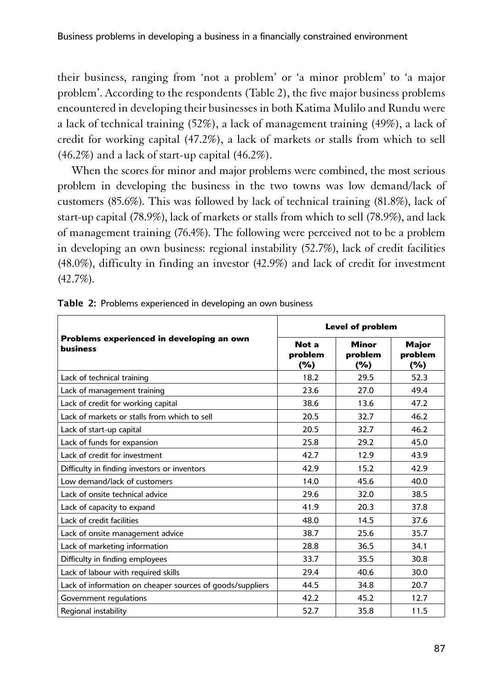their business, ranging from 'not a problem' or 'a minor problem' to 'a major problem'. According to the respondents (Table 2), the five major business problems encountered in developing their businesses in both Katima Mulilo and Rundu were a lack of technical training (52%), a lack of management training (49%), a lack of credit for working capital (47.2%), a lack of markets or stalls from which to sell (46.2%) and a lack of start-up capital (46.2%).

When the scores for minor and major problems were combined, the most serious problem in developing the business in the two towns was low demand/lack of customers (85.6%). This was followed by lack of technical training (81.8%), lack of start-up capital (78.9%), lack of markets or stalls from which to sell (78.9%), and lack of management training (76.4%). The following were perceived not to be a problem in developing an own business: regional instability (52.7%), lack of credit facilities (48.0%), difficulty in finding an investor (42.9%) and lack of credit for investment (42.7%).

|                                                           | <b>Level of problem</b>    |                                |                            |  |
|-----------------------------------------------------------|----------------------------|--------------------------------|----------------------------|--|
| Problems experienced in developing an own<br>business     | Not a<br>problem<br>$(\%)$ | <b>Minor</b><br>problem<br>(%) | Major<br>problem<br>$(\%)$ |  |
| Lack of technical training                                | 18.2                       | 29.5                           | 52.3                       |  |
| Lack of management training                               | 23.6                       | 27.0                           | 49.4                       |  |
| Lack of credit for working capital                        | 38.6                       | 13.6                           | 47.2                       |  |
| Lack of markets or stalls from which to sell              | 20.5                       | 32.7                           | 46.2                       |  |
| Lack of start-up capital                                  | 20.5                       | 32.7                           | 46.2                       |  |
| Lack of funds for expansion                               | 25.8                       | 29.2                           | 45.0                       |  |
| Lack of credit for investment                             | 42.7                       | 12.9                           | 43.9                       |  |
| Difficulty in finding investors or inventors              | 42.9                       | 15.2                           | 42.9                       |  |
| Low demand/lack of customers                              | 14.0                       | 45.6                           | 40.0                       |  |
| Lack of onsite technical advice                           | 29.6                       | 32.0                           | 38.5                       |  |
| Lack of capacity to expand                                | 41.9                       | 20.3                           | 37.8                       |  |
| Lack of credit facilities                                 | 48.0                       | 14.5                           | 37.6                       |  |
| Lack of onsite management advice                          | 38.7                       | 25.6                           | 35.7                       |  |
| Lack of marketing information                             | 28.8                       | 36.5                           | 34.1                       |  |
| Difficulty in finding employees                           | 33.7                       | 35.5                           | 30.8                       |  |
| Lack of labour with required skills                       | 29.4                       | 40.6                           | 30.0                       |  |
| Lack of information on cheaper sources of goods/suppliers | 44.5                       | 34.8                           | 20.7                       |  |
| Government regulations                                    | 42.2                       | 45.2                           | 12.7                       |  |
| Regional instability                                      | 52.7                       | 35.8                           | 11.5                       |  |

Table 2: Problems experienced in developing an own business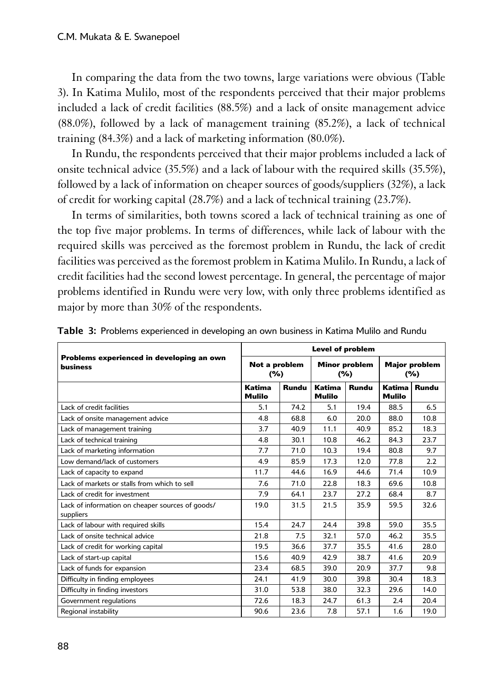In comparing the data from the two towns, large variations were obvious (Table 3). In Katima Mulilo, most of the respondents perceived that their major problems included a lack of credit facilities (88.5%) and a lack of onsite management advice (88.0%), followed by a lack of management training (85.2%), a lack of technical training (84.3%) and a lack of marketing information (80.0%).

In Rundu, the respondents perceived that their major problems included a lack of onsite technical advice (35.5%) and a lack of labour with the required skills (35.5%), followed by a lack of information on cheaper sources of goods/suppliers (32%), a lack of credit for working capital (28.7%) and a lack of technical training (23.7%).

In terms of similarities, both towns scored a lack of technical training as one of the top five major problems. In terms of differences, while lack of labour with the required skills was perceived as the foremost problem in Rundu, the lack of credit facilities was perceived as the foremost problem in Katima Mulilo. In Rundu, a lack of credit facilities had the second lowest percentage. In general, the percentage of major problems identified in Rundu were very low, with only three problems identified as major by more than 30% of the respondents.

|                                                               | <b>Level of problem</b> |       |                             |       |                             |       |
|---------------------------------------------------------------|-------------------------|-------|-----------------------------|-------|-----------------------------|-------|
| Problems experienced in developing an own<br><b>business</b>  | Not a problem<br>$(\%)$ |       | <b>Minor problem</b><br>(%) |       | <b>Major problem</b><br>(%) |       |
|                                                               | Katima<br><b>Mulilo</b> | Rundu | Katima<br><b>Mulilo</b>     | Rundu | Katima<br><b>Mulilo</b>     | Rundu |
| Lack of credit facilities                                     | 5.1                     | 74.2  | 5.1                         | 19.4  | 88.5                        | 6.5   |
| Lack of onsite management advice                              | 4.8                     | 68.8  | 6.0                         | 20.0  | 88.0                        | 10.8  |
| Lack of management training                                   | 3.7                     | 40.9  | 11.1                        | 40.9  | 85.2                        | 18.3  |
| Lack of technical training                                    | 4.8                     | 30.1  | 10.8                        | 46.2  | 84.3                        | 23.7  |
| Lack of marketing information                                 | 7.7                     | 71.0  | 10.3                        | 19.4  | 80.8                        | 9.7   |
| Low demand/lack of customers                                  | 4.9                     | 85.9  | 17.3                        | 12.0  | 77.8                        | 2.2   |
| Lack of capacity to expand                                    | 11.7                    | 44.6  | 16.9                        | 44.6  | 71.4                        | 10.9  |
| Lack of markets or stalls from which to sell                  | 7.6                     | 71.0  | 22.8                        | 18.3  | 69.6                        | 10.8  |
| Lack of credit for investment                                 | 7.9                     | 64.1  | 23.7                        | 27.2  | 68.4                        | 8.7   |
| Lack of information on cheaper sources of goods/<br>suppliers | 19.0                    | 31.5  | 21.5                        | 35.9  | 59.5                        | 32.6  |
| Lack of labour with required skills                           | 15.4                    | 24.7  | 24.4                        | 39.8  | 59.0                        | 35.5  |
| Lack of onsite technical advice                               | 21.8                    | 7.5   | 32.1                        | 57.0  | 46.2                        | 35.5  |
| Lack of credit for working capital                            | 19.5                    | 36.6  | 37.7                        | 35.5  | 41.6                        | 28.0  |
| Lack of start-up capital                                      | 15.6                    | 40.9  | 42.9                        | 38.7  | 41.6                        | 20.9  |
| Lack of funds for expansion                                   | 23.4                    | 68.5  | 39.0                        | 20.9  | 37.7                        | 9.8   |
| Difficulty in finding employees                               | 24.1                    | 41.9  | 30.0                        | 39.8  | 30.4                        | 18.3  |
| Difficulty in finding investors                               | 31.0                    | 53.8  | 38.0                        | 32.3  | 29.6                        | 14.0  |
| Government regulations                                        | 72.6                    | 18.3  | 24.7                        | 61.3  | 2.4                         | 20.4  |
| Regional instability                                          | 90.6                    | 23.6  | 7.8                         | 57.1  | 1.6                         | 19.0  |

Table 3: Problems experienced in developing an own business in Katima Mulilo and Rundu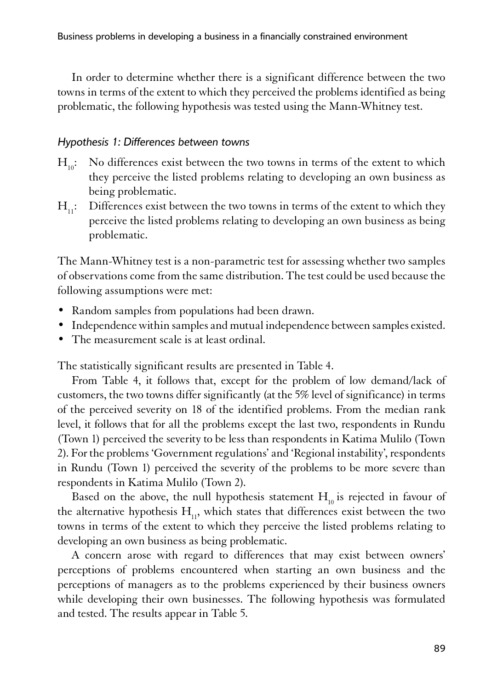In order to determine whether there is a significant difference between the two towns in terms of the extent to which they perceived the problems identified as being problematic, the following hypothesis was tested using the Mann-Whitney test.

#### *Hypothesis 1: Differences between towns*

- $H_{10}$ : No differences exist between the two towns in terms of the extent to which they perceive the listed problems relating to developing an own business as being problematic.
- $H_{11}$ : Differences exist between the two towns in terms of the extent to which they perceive the listed problems relating to developing an own business as being problematic.

1The Mann-Whitney test is a non-parametric test for assessing whether two samples of observations come from the same distribution. The test could be used because the following assumptions were met:

- Random samples from populations had been drawn.
- Independence within samples and mutual independence between samples existed.
- The measurement scale is at least ordinal.

1The statistically significant results are presented in Table 4.

From Table 4, it follows that, except for the problem of low demand/lack of customers, the two towns differ significantly (at the 5% level of significance) in terms of the perceived severity on 18 of the identified problems. From the median rank level, it follows that for all the problems except the last two, respondents in Rundu (Town 1) perceived the severity to be less than respondents in Katima Mulilo (Town 2). For the problems 'Government regulations' and 'Regional instability', respondents in Rundu (Town 1) perceived the severity of the problems to be more severe than respondents in Katima Mulilo (Town 2).

Based on the above, the null hypothesis statement  $H_{10}$  is rejected in favour of the alternative hypothesis  $H_{11}$ , which states that differences exist between the two towns in terms of the extent to which they perceive the listed problems relating to developing an own business as being problematic.

A concern arose with regard to differences that may exist between owners' perceptions of problems encountered when starting an own business and the perceptions of managers as to the problems experienced by their business owners while developing their own businesses. The following hypothesis was formulated and tested. The results appear in Table 5.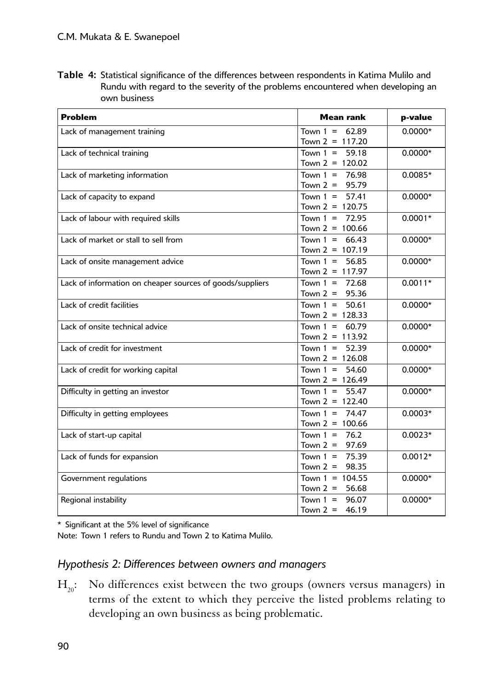Table 4: Statistical significance of the differences between respondents in Katima Mulilo and Rundu with regard to the severity of the problems encountered when developing an own business

| <b>Problem</b>                                            | <b>Mean rank</b>                         | p-value   |
|-----------------------------------------------------------|------------------------------------------|-----------|
| Lack of management training                               | Town $1 = 62.89$<br>Town $2 = 117.20$    | $0.0000*$ |
| Lack of technical training                                | Town $1 =$<br>59.18<br>Town $2 = 120.02$ | $0.0000*$ |
| Lack of marketing information                             | 76.98<br>Town $1 =$<br>Town $2 = 95.79$  | $0.0085*$ |
| Lack of capacity to expand                                | Town $1 =$<br>57.41<br>Town $2 = 120.75$ | $0.0000*$ |
| Lack of labour with required skills                       | Town $1 = 72.95$<br>Town $2 = 100.66$    | $0.0001*$ |
| Lack of market or stall to sell from                      | Town $1 = 66.43$<br>Town $2 = 107.19$    | $0.0000*$ |
| Lack of onsite management advice                          | Town $1 =$<br>56.85<br>Town $2 = 117.97$ | $0.0000*$ |
| Lack of information on cheaper sources of goods/suppliers | Town $1 = 72.68$<br>Town $2 = 95.36$     | $0.0011*$ |
| Lack of credit facilities                                 | Town $1 =$<br>50.61<br>Town $2 = 128.33$ | $0.0000*$ |
| Lack of onsite technical advice                           | Town $1 = 60.79$<br>Town $2 = 113.92$    | $0.0000*$ |
| Lack of credit for investment                             | Town $1 = 52.39$<br>Town $2 = 126.08$    | $0.0000*$ |
| Lack of credit for working capital                        | Town $1 = 54.60$<br>Town $2 = 126.49$    | $0.0000*$ |
| Difficulty in getting an investor                         | Town $1 = 55.47$<br>Town $2 = 122.40$    | $0.0000*$ |
| Difficulty in getting employees                           | Town $1 = 74.47$<br>Town $2 = 100.66$    | $0.0003*$ |
| Lack of start-up capital                                  | Town $1 = 76.2$<br>Town $2 =$<br>97.69   | $0.0023*$ |
| Lack of funds for expansion                               | Town $1 = 75.39$<br>Town $2 = 98.35$     | $0.0012*$ |
| Government regulations                                    | Town $1 = 104.55$<br>56.68<br>Town $2 =$ | $0.0000*$ |
| Regional instability                                      | Town $1 = 96.07$<br>Town $2 =$<br>46.19  | $0.0000*$ |

<sup>1</sup>\* Significant at the 5% level of significance

1Note: Town 1 refers to Rundu and Town 2 to Katima Mulilo.

#### *Hypothesis 2: Differences between owners and managers*

 $H_{20}$ : No differences exist between the two groups (owners versus managers) in terms of the extent to which they perceive the listed problems relating to developing an own business as being problematic.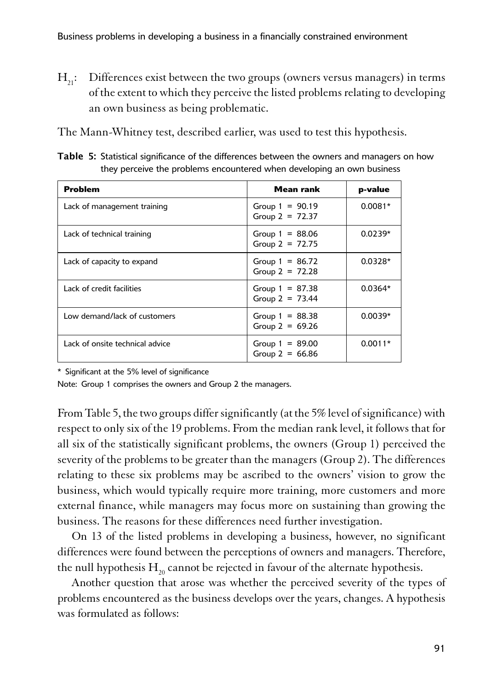$H_{21}$ : Differences exist between the two groups (owners versus managers) in terms of the extent to which they perceive the listed problems relating to developing an own business as being problematic.

The Mann-Whitney test, described earlier, was used to test this hypothesis.

Table 5: Statistical significance of the differences between the owners and managers on how they perceive the problems encountered when developing an own business

| <b>Problem</b>                  | Mean rank                              | p-value   |
|---------------------------------|----------------------------------------|-----------|
| Lack of management training     | Group $1 = 90.19$<br>Group $2 = 72.37$ | $0.0081*$ |
| Lack of technical training      | Group $1 = 88.06$<br>Group $2 = 72.75$ | $0.0239*$ |
| Lack of capacity to expand      | Group $1 = 86.72$<br>Group $2 = 72.28$ | $0.0328*$ |
| Lack of credit facilities       | Group $1 = 87.38$<br>Group $2 = 73.44$ | $0.0364*$ |
| Low demand/lack of customers    | Group $1 = 88.38$<br>Group $2 = 69.26$ | $0.0039*$ |
| Lack of onsite technical advice | Group $1 = 89.00$<br>Group $2 = 66.86$ | $0.0011*$ |

\* Significant at the 5% level of significance

Note: Group 1 comprises the owners and Group 2 the managers.

From Table 5, the two groups differ significantly (at the  $5\%$  level of significance) with respect to only six of the 19 problems. From the median rank level, it follows that for all six of the statistically significant problems, the owners (Group 1) perceived the severity of the problems to be greater than the managers (Group 2). The differences relating to these six problems may be ascribed to the owners' vision to grow the business, which would typically require more training, more customers and more external finance, while managers may focus more on sustaining than growing the business. The reasons for these differences need further investigation.

On 13 of the listed problems in developing a business, however, no significant differences were found between the perceptions of owners and managers. Therefore, the null hypothesis  $H_{20}$  cannot be rejected in favour of the alternate hypothesis.

Another question that arose was whether the perceived severity of the types of problems encountered as the business develops over the years, changes. A hypothesis was formulated as follows: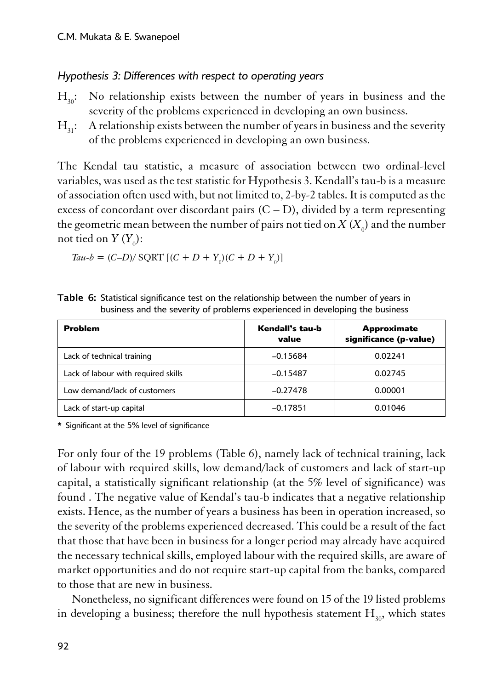#### *Hypothesis 3: Differences with respect to operating years*

- $H_{30}$ : No relationship exists between the number of years in business and the severity of the problems experienced in developing an own business.
- $H_{\rm a}$ : A relationship exists between the number of years in business and the severity of the problems experienced in developing an own business.

1The Kendal tau statistic, a measure of association between two ordinal-level variables, was used as the test statistic for Hypothesis 3. Kendall's tau-b is a measure of association often used with, but not limited to, 2-by-2 tables. It is computed as the excess of concordant over discordant pairs  $(C - D)$ , divided by a term representing the geometric mean between the number of pairs not tied on  $X\left(X_{_{0}}\right)$  and the number not tied on  $Y(Y_0)$ :

*Tau-b* = 
$$
(C-D)/
$$
 SQRT  $[(C + D + Y_0)(C + D + Y_0)]$ 

| <b>Problem</b>                      | Kendall's tau-b<br>value | <b>Approximate</b><br>significance (p-value) |
|-------------------------------------|--------------------------|----------------------------------------------|
| Lack of technical training          | $-0.15684$               | 0.02241                                      |
| Lack of labour with required skills | $-0.15487$               | 0.02745                                      |
| Low demand/lack of customers        | $-0.27478$               | 0.00001                                      |
| Lack of start-up capital            | $-0.17851$               | 0.01046                                      |

Table 6: Statistical significance test on the relationship between the number of years in business and the severity of problems experienced in developing the business

<sup>1</sup>**\*** Significant at the 5% level of significance

1For only four of the 19 problems (Table 6), namely lack of technical training, lack of labour with required skills, low demand/lack of customers and lack of start-up capital, a statistically significant relationship (at the 5% level of significance) was found . The negative value of Kendal's tau-b indicates that a negative relationship exists. Hence, as the number of years a business has been in operation increased, so the severity of the problems experienced decreased. This could be a result of the fact that those that have been in business for a longer period may already have acquired the necessary technical skills, employed labour with the required skills, are aware of market opportunities and do not require start-up capital from the banks, compared to those that are new in business.

Nonetheless, no significant differences were found on 15 of the 19 listed problems in developing a business; therefore the null hypothesis statement  $H_{30}$ , which states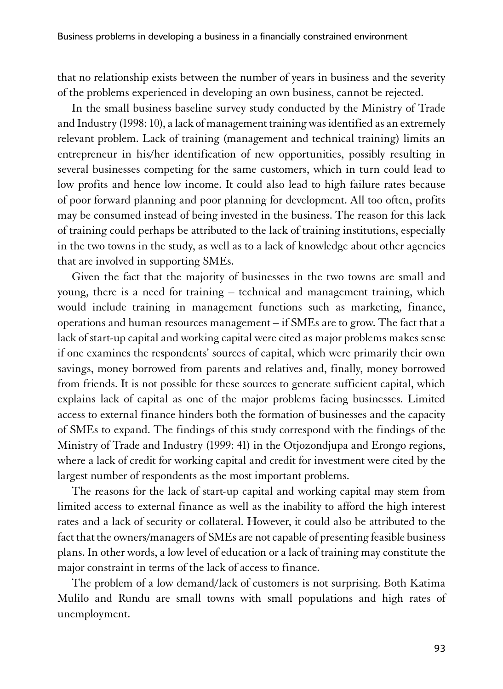that no relationship exists between the number of years in business and the severity of the problems experienced in developing an own business, cannot be rejected.

In the small business baseline survey study conducted by the Ministry of Trade and Industry (1998: 10), a lack of management training was identified as an extremely relevant problem. Lack of training (management and technical training) limits an entrepreneur in his/her identification of new opportunities, possibly resulting in several businesses competing for the same customers, which in turn could lead to low profits and hence low income. It could also lead to high failure rates because of poor forward planning and poor planning for development. All too often, profits may be consumed instead of being invested in the business. The reason for this lack of training could perhaps be attributed to the lack of training institutions, especially in the two towns in the study, as well as to a lack of knowledge about other agencies that are involved in supporting SMEs.

Given the fact that the majority of businesses in the two towns are small and young, there is a need for training – technical and management training, which would include training in management functions such as marketing, finance, operations and human resources management – if SMEs are to grow. The fact that a lack of start-up capital and working capital were cited as major problems makes sense if one examines the respondents' sources of capital, which were primarily their own savings, money borrowed from parents and relatives and, finally, money borrowed from friends. It is not possible for these sources to generate sufficient capital, which explains lack of capital as one of the major problems facing businesses. Limited access to external finance hinders both the formation of businesses and the capacity of SMEs to expand. The findings of this study correspond with the findings of the Ministry of Trade and Industry (1999: 41) in the Otjozondjupa and Erongo regions, where a lack of credit for working capital and credit for investment were cited by the largest number of respondents as the most important problems.

The reasons for the lack of start-up capital and working capital may stem from limited access to external finance as well as the inability to afford the high interest rates and a lack of security or collateral. However, it could also be attributed to the fact that the owners/managers of SMEs are not capable of presenting feasible business plans. In other words, a low level of education or a lack of training may constitute the major constraint in terms of the lack of access to finance.

The problem of a low demand/lack of customers is not surprising. Both Katima Mulilo and Rundu are small towns with small populations and high rates of unemployment.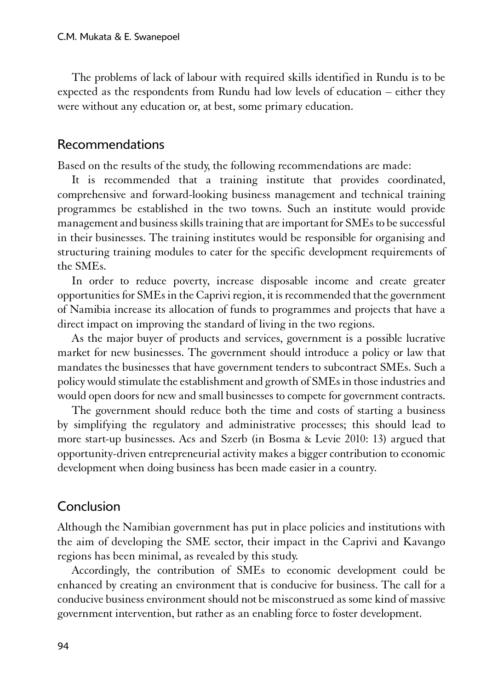The problems of lack of labour with required skills identified in Rundu is to be expected as the respondents from Rundu had low levels of education – either they were without any education or, at best, some primary education.

#### Recommendations

Based on the results of the study, the following recommendations are made:

It is recommended that a training institute that provides coordinated, comprehensive and forward-looking business management and technical training programmes be established in the two towns. Such an institute would provide management and business skills training that are important for SMEs to be successful in their businesses. The training institutes would be responsible for organising and structuring training modules to cater for the specific development requirements of the SMEs.

In order to reduce poverty, increase disposable income and create greater opportunities for SMEs in the Caprivi region, it is recommended that the government of Namibia increase its allocation of funds to programmes and projects that have a direct impact on improving the standard of living in the two regions.

As the major buyer of products and services, government is a possible lucrative market for new businesses. The government should introduce a policy or law that mandates the businesses that have government tenders to subcontract SMEs. Such a policy would stimulate the establishment and growth of SMEs in those industries and would open doors for new and small businesses to compete for government contracts.

The government should reduce both the time and costs of starting a business by simplifying the regulatory and administrative processes; this should lead to more start-up businesses. Acs and Szerb (in Bosma & Levie 2010: 13) argued that opportunity-driven entrepreneurial activity makes a bigger contribution to economic development when doing business has been made easier in a country.

# Conclusion

1Although the Namibian government has put in place policies and institutions with the aim of developing the SME sector, their impact in the Caprivi and Kavango regions has been minimal, as revealed by this study.

Accordingly, the contribution of SMEs to economic development could be enhanced by creating an environment that is conducive for business. The call for a conducive business environment should not be misconstrued as some kind of massive government intervention, but rather as an enabling force to foster development.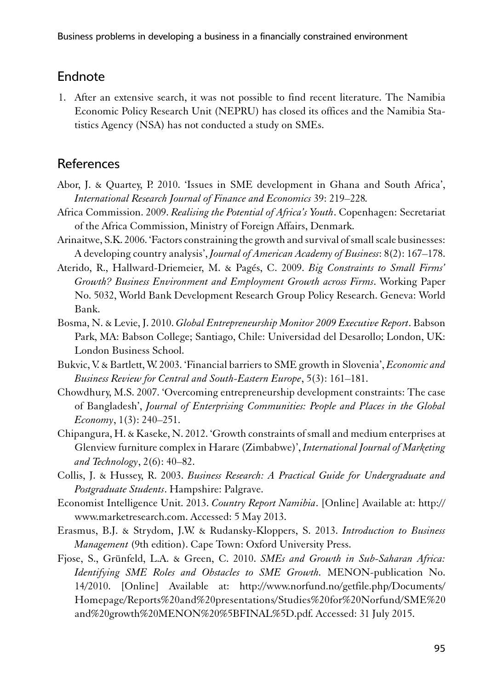# Endnote

1. After an extensive search, it was not possible to find recent literature. The Namibia Economic Policy Research Unit (NEPRU) has closed its offices and the Namibia Statistics Agency (NSA) has not conducted a study on SMEs.

# **References**

- Abor, J. & Quartey, P. 2010. 'Issues in SME development in Ghana and South Africa', *International Research Journal of Finance and Economics* 39: 219–228*.*
- Africa Commission. 2009. *Realising the Potential of Africa's Youth*. Copenhagen: Secretariat of the Africa Commission, Ministry of Foreign Affairs, Denmark.
- Arinaitwe, S.K. 2006. 'Factors constraining the growth and survival of small scale businesses: A developing country analysis', *Journal of American Academy of Business*: 8(2): 167–178.
- Aterido, R., Hallward-Driemeier, M. & Pagés, C. 2009. *Big Constraints to Small Firms' Growth? Business Environment and Employment Growth across Firms*. Working Paper No. 5032, World Bank Development Research Group Policy Research. Geneva: World Bank.
- Bosma, N. & Levie, J. 2010. *Global Entrepreneurship Monitor 2009 Executive Report*. Babson Park, MA: Babson College; Santiago, Chile: Universidad del Desarollo; London, UK: London Business School.
- Bukvic, V. & Bartlett, W. 2003. 'Financial barriers to SME growth in Slovenia', *Economic and Business Review for Central and South-Eastern Europe*, 5(3): 161–181.
- Chowdhury, M.S. 2007. 'Overcoming entrepreneurship development constraints: The case of Bangladesh', *Journal of Enterprising Communities: People and Places in the Global Economy*, 1(3): 240–251.
- Chipangura, H. & Kaseke, N. 2012. 'Growth constraints of small and medium enterprises at Glenview furniture complex in Harare (Zimbabwe)', *International Journal of Marketing and Technology*, 2(6): 40–82.
- Collis, J. & Hussey, R. 2003. *Business Research: A Practical Guide for Undergraduate and Postgraduate Students*. Hampshire: Palgrave.
- Economist Intelligence Unit. 2013. *Country Report Namibia*. [Online] Available at: [http://](http://www.marketresearch.com/) [www.marketresearch.com.](http://www.marketresearch.com/) Accessed: 5 May 2013.
- Erasmus, B.J. & Strydom, J.W. & Rudansky-Kloppers, S. 2013. *Introduction to Business Management* (9th edition). Cape Town: Oxford University Press.
- Fjose, S., Grünfeld, L.A. & Green, C. 2010. *SMEs and Growth in Sub-Saharan Africa: Identifying SME Roles and Obstacles to SME Growth.* MENON-publication No. 14/2010. [Online] Available at: [http://www.norfund.no/getfile.php/Documents/](http://www.norfund.no/getfile.php/Documents/Homepage/Reports and presentations/Studies for Norfund/SME and growth MENON %5BFINAL%5D.pdf) [Homepage/Reports%20and%20presentations/Studies%20for%20Norfund/SME%20](http://www.norfund.no/getfile.php/Documents/Homepage/Reports and presentations/Studies for Norfund/SME and growth MENON %5BFINAL%5D.pdf) [and%20growth%20MENON%20%5BFINAL%5D.pdf](http://www.norfund.no/getfile.php/Documents/Homepage/Reports and presentations/Studies for Norfund/SME and growth MENON %5BFINAL%5D.pdf). Accessed: 31 July 2015.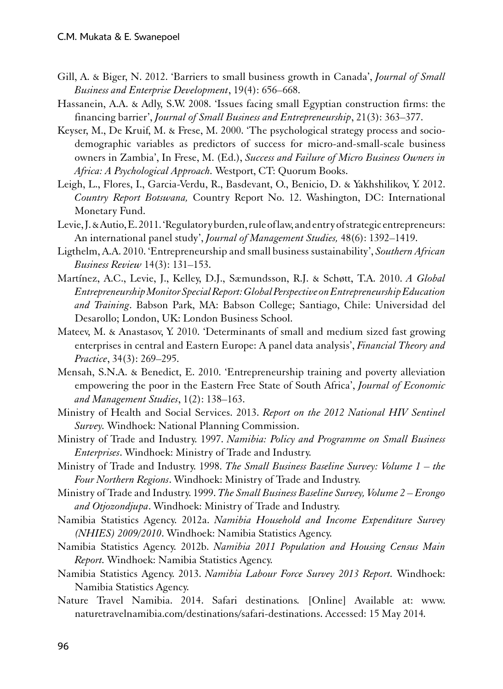- Gill, A. & Biger, N. 2012. 'Barriers to small business growth in Canada', *Journal of Small Business and Enterprise Development*, 19(4): 656–668.
- Hassanein, A.A. & Adly, S.W. 2008. 'Issues facing small Egyptian construction firms: the financing barrier', *Journal of Small Business and Entrepreneurship*, 21(3): 363–377.
- Keyser, M., De Kruif, M. & Frese, M. 2000. 'The psychological strategy process and sociodemographic variables as predictors of success for micro-and-small-scale business owners in Zambia', In Frese, M. (Ed.), *Success and Failure of Micro Business Owners in Africa: A Psychological Approach.* Westport, CT: Quorum Books.
- [Leigh, L., Flores, I., Garcia-Verdu, R., Basdevant, O., Benicio, D. & Yakhshilikov, Y.](mailto:info@sun.ac.za) 2012. *Country Report Botswana,* Country Report No. 12. Washington, DC: International Monetary Fund.
- Levie, J. & Autio, E. 2011. 'Regulatory burden, rule of law, and entry of strategic entrepreneurs: An international panel study', *Journal of Management Studies,* 48(6): 1392–1419.
- Ligthelm, A.A. 2010. 'Entrepreneurship and small business sustainability', *Southern African Business Review* 14(3): 131–153.
- Martínez, A.C., Levie, J., Kelley, D.J., Sæmundsson, R.J. & Schøtt, T.A. 2010. *A Global Entrepreneurship Monitor Special Report: Global Perspective on Entrepreneurship Education and Training*. Babson Park, MA: Babson College; Santiago, Chile: Universidad del Desarollo; London, UK: London Business School.
- Mateev, M. & Anastasov, Y. 2010. 'Determinants of small and medium sized fast growing enterprises in central and Eastern Europe: A panel data analysis', *Financial Theory and Practice*, 34(3): 269–295.
- Mensah, S.N.A. & Benedict, E. 2010. 'Entrepreneurship training and poverty alleviation empowering the poor in the Eastern Free State of South Africa', *Journal of Economic and Management Studies*, 1(2): 138–163.
- Ministry of Health and Social Services. 2013. *Report on the 2012 National HIV Sentinel Survey.* Windhoek: National Planning Commission.
- Ministry of Trade and Industry. 1997. *Namibia: Policy and Programme on Small Business Enterprises*. Windhoek: Ministry of Trade and Industry.
- Ministry of Trade and Industry. 1998. *The Small Business Baseline Survey: Volume 1 the Four Northern Regions*. Windhoek: Ministry of Trade and Industry.
- Ministry of Trade and Industry. 1999. *The Small Business Baseline Survey, Volume 2 Erongo and Otjozondjupa*. Windhoek: Ministry of Trade and Industry.
- Namibia Statistics Agency. 2012a. *Namibia Household and Income Expenditure Survey (NHIES) 2009/2010*. Windhoek: Namibia Statistics Agency.
- Namibia Statistics Agency. 2012b. *Namibia 2011 Population and Housing Census Main Report.* Windhoek: Namibia Statistics Agency.
- Namibia Statistics Agency. 2013. *Namibia Labour Force Survey 2013 Report.* Windhoek: Namibia Statistics Agency.
- Nature Travel Namibia. 2014. Safari destinations*.* [Online] Available at: [www.](http://www.naturetravelnamibia.com/destinations/safari-destinations) [naturetravelnamibia.com/destinations/safari-destinations.](http://www.naturetravelnamibia.com/destinations/safari-destinations) Accessed: 15 May 2014*.*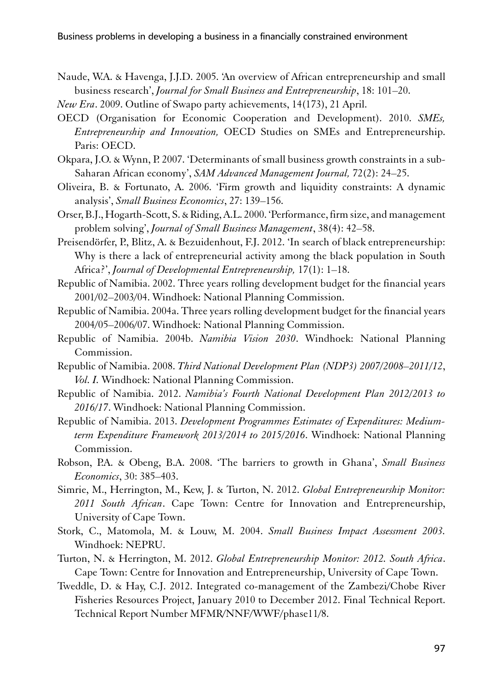- Naude, W.A. & Havenga, J.J.D. 2005. 'An overview of African entrepreneurship and small business research', *Journal for Small Business and Entrepreneurship*, 18: 101–20.
- *New Era*. 2009. Outline of Swapo party achievements, 14(173), 21 April.
- OECD (Organisation for Economic Cooperation and Development). 2010. *SMEs, Entrepreneurship and Innovation,* OECD Studies on SMEs and Entrepreneurship. Paris: OECD.
- Okpara, J.O. & Wynn, P. 2007. 'Determinants of small business growth constraints in a sub-Saharan African economy', *SAM Advanced Management Journal,* 72(2): 24–25.
- Oliveira, B. & Fortunato, A. 2006. 'Firm growth and liquidity constraints: A dynamic analysis', *Small Business Economics*, 27: 139–156.
- Orser, B.J., Hogarth-Scott, S. & Riding, A.L. 2000. 'Performance, firm size, and management problem solving', *Journal of Small Business Management*, 38(4): 42–58.
- Preisendörfer, P., Blitz, A. & Bezuidenhout, F.J. 2012. 'In search of black entrepreneurship: Why is there a lack of entrepreneurial activity among the black population in South Africa?', *Journal of Developmental Entrepreneurship,* 17(1): 1–18.
- Republic of Namibia. 2002. Three years rolling development budget for the financial years 2001/02–2003/04. Windhoek: National Planning Commission.
- Republic of Namibia. 2004a. Three years rolling development budget for the financial years 2004/05–2006/07. Windhoek: National Planning Commission.
- Republic of Namibia. 2004b. *Namibia Vision 2030*. Windhoek: National Planning Commission.
- Republic of Namibia. 2008. *Third National Development Plan (NDP3) 2007/2008–2011/12*, *Vol. I.* Windhoek: National Planning Commission.
- Republic of Namibia. 2012. *Namibia's Fourth National Development Plan 2012/2013 to 2016/17*. Windhoek: National Planning Commission.
- Republic of Namibia. 2013. *Development Programmes Estimates of Expenditures: Mediumterm Expenditure Framework 2013/2014 to 2015/2016*. Windhoek: National Planning Commission.
- Robson, P.A. & Obeng, B.A. 2008. 'The barriers to growth in Ghana', *Small Business Economics*, 30: 385–403.
- Simrie, M., Herrington, M., Kew, J. & Turton, N. 2012. *Global Entrepreneurship Monitor: 2011 South African*. Cape Town: Centre for Innovation and Entrepreneurship, University of Cape Town.
- Stork, C., Matomola, M. & Louw, M. 2004. *Small Business Impact Assessment 2003.* Windhoek: NEPRU.
- Turton, N. & Herrington, M. 2012. *Global Entrepreneurship Monitor: 2012. South Africa*. Cape Town: Centre for Innovation and Entrepreneurship, University of Cape Town.
- Tweddle, D. & Hay, C.J. 2012. Integrated co-management of the Zambezi/Chobe River Fisheries Resources Project, January 2010 to December 2012. Final Technical Report. Technical Report Number MFMR/NNF/WWF/phase11/8.